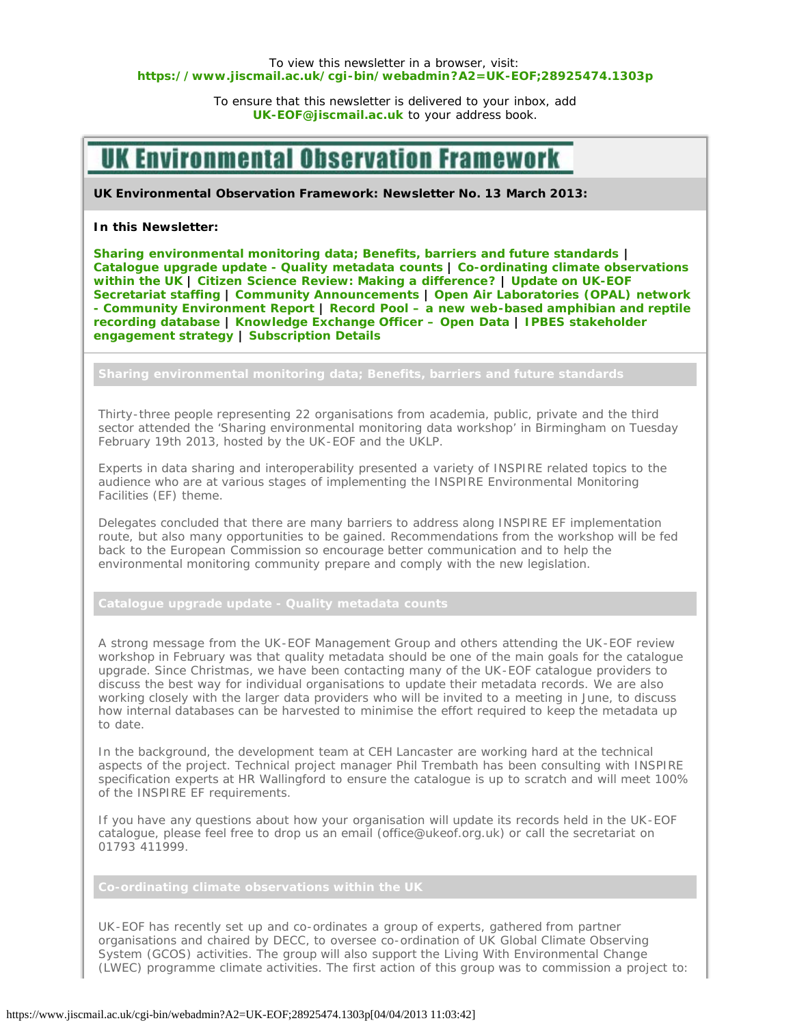## <span id="page-0-0"></span>To view this newsletter in a browser, visit: **[https://www.jiscmail.ac.uk/cgi-bin/webadmin?A2=UK-EOF;28925474.1303p](#page-0-0)**

To ensure that this newsletter is delivered to your inbox, add **[UK-EOF@jiscmail.ac.uk](mailto:UK-EOF@jiscmail.ac.uk)** to your address book.

## **UK Enviro** Iserva

**UK Environmental Observation Framework: Newsletter No. 13 March 2013:**

## **In this Newsletter:**

**[Sharing environmental monitoring data; Benefits, barriers and future standards |](#page-0-1) [Catalogue upgrade update - Quality metadata counts](#page-0-2) | [Co-ordinating climate observations](#page-0-3) [within the UK](#page-0-3) | [Citizen Science Review: Making a difference?](#page-1-0) | [Update on UK-EOF](#page-1-1) [Secretariat staffing](#page-1-1) | [Community Announcements](#page-1-2) | [Open Air Laboratories \(OPAL\) network](#page-1-3) [- Community Environment Report](#page-1-3) | [Record Pool – a new web-based amphibian and reptile](#page-2-0) [recording database](#page-2-0) | [Knowledge Exchange Officer – Open Data](#page-2-1) | [IPBES stakeholder](#page-0-0) [engagement strategy](#page-0-0) | [Subscription Details](#page-2-2)**

<span id="page-0-1"></span>Thirty-three people representing 22 organisations from academia, public, private and the third sector attended the 'Sharing environmental monitoring data workshop' in Birmingham on Tuesday February 19th 2013, hosted by the UK-EOF and the UKLP.

Experts in data sharing and interoperability presented a variety of INSPIRE related topics to the audience who are at various stages of implementing the INSPIRE Environmental Monitoring Facilities (EF) theme.

Delegates concluded that there are many barriers to address along INSPIRE EF implementation route, but also many opportunities to be gained. Recommendations from the workshop will be fed back to the European Commission so encourage better communication and to help the environmental monitoring community prepare and comply with the new legislation.

<span id="page-0-2"></span>**Catalogue upgrade update - Quality metadata counts**

A strong message from the UK-EOF Management Group and others attending the UK-EOF review workshop in February was that quality metadata should be one of the main goals for the catalogue upgrade. Since Christmas, we have been contacting many of the UK-EOF catalogue providers to discuss the best way for individual organisations to update their metadata records. We are also working closely with the larger data providers who will be invited to a meeting in June, to discuss how internal databases can be harvested to minimise the effort required to keep the metadata up to date.

In the background, the development team at CEH Lancaster are working hard at the technical aspects of the project. Technical project manager Phil Trembath has been consulting with INSPIRE specification experts at HR Wallingford to ensure the catalogue is up to scratch and will meet 100% of the INSPIRE EF requirements.

If you have any questions about how your organisation will update its records held in the UK-EOF catalogue, please feel free to drop us an email (office@ukeof.org.uk) or call the secretariat on 01793 411999.

<span id="page-0-3"></span>

UK-EOF has recently set up and co-ordinates a group of experts, gathered from partner organisations and chaired by DECC, to oversee co-ordination of UK Global Climate Observing System (GCOS) activities. The group will also support the Living With Environmental Change (LWEC) programme climate activities. The first action of this group was to commission a project to: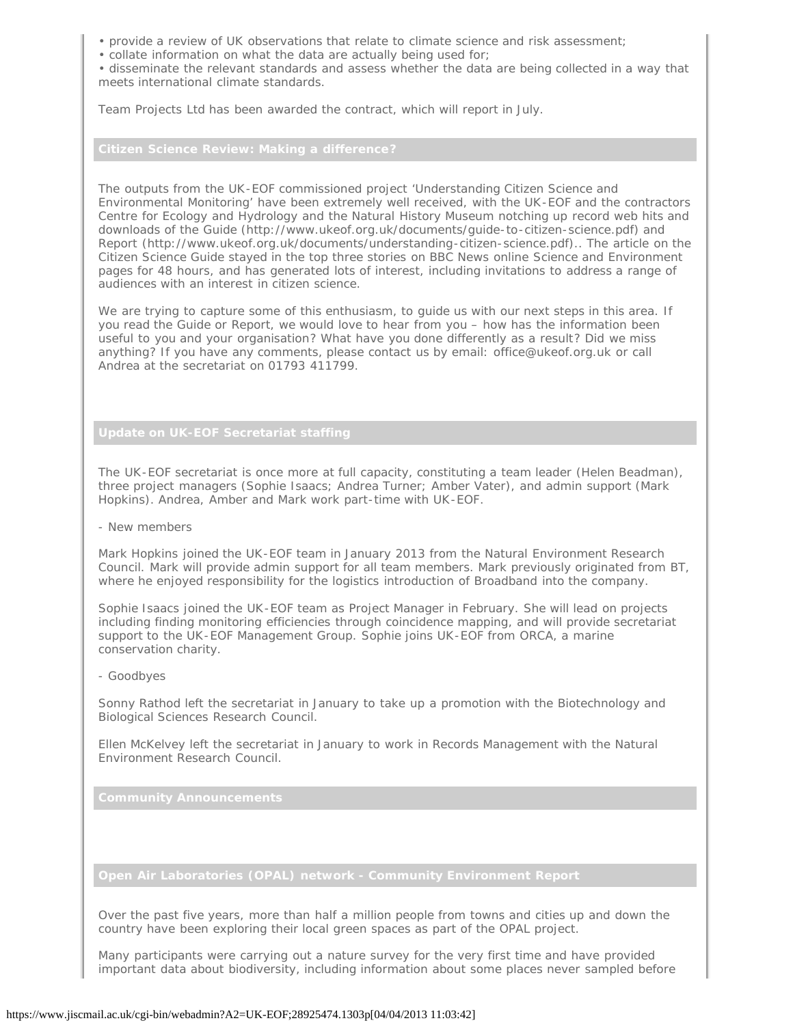- provide a review of UK observations that relate to climate science and risk assessment;
- collate information on what the data are actually being used for;

• disseminate the relevant standards and assess whether the data are being collected in a way that meets international climate standards.

Team Projects Ltd has been awarded the contract, which will report in July.

<span id="page-1-0"></span>

The outputs from the UK-EOF commissioned project 'Understanding Citizen Science and Environmental Monitoring' have been extremely well received, with the UK-EOF and the contractors Centre for Ecology and Hydrology and the Natural History Museum notching up record web hits and downloads of the Guide (http://www.ukeof.org.uk/documents/guide-to-citizen-science.pdf) and Report (http://www.ukeof.org.uk/documents/understanding-citizen-science.pdf).. The article on the Citizen Science Guide stayed in the top three stories on BBC News online Science and Environment pages for 48 hours, and has generated lots of interest, including invitations to address a range of audiences with an interest in citizen science.

We are trying to capture some of this enthusiasm, to guide us with our next steps in this area. If you read the Guide or Report, we would love to hear from you – how has the information been useful to you and your organisation? What have you done differently as a result? Did we miss anything? If you have any comments, please contact us by email: office@ukeof.org.uk or call Andrea at the secretariat on 01793 411799.

<span id="page-1-1"></span>

The UK-EOF secretariat is once more at full capacity, constituting a team leader (Helen Beadman), three project managers (Sophie Isaacs; Andrea Turner; Amber Vater), and admin support (Mark Hopkins). Andrea, Amber and Mark work part-time with UK-EOF.

- New members

Mark Hopkins joined the UK-EOF team in January 2013 from the Natural Environment Research Council. Mark will provide admin support for all team members. Mark previously originated from BT, where he enjoyed responsibility for the logistics introduction of Broadband into the company.

Sophie Isaacs joined the UK-EOF team as Project Manager in February. She will lead on projects including finding monitoring efficiencies through coincidence mapping, and will provide secretariat support to the UK-EOF Management Group. Sophie joins UK-EOF from ORCA, a marine conservation charity.

- Goodbyes

Sonny Rathod left the secretariat in January to take up a promotion with the Biotechnology and Biological Sciences Research Council.

Ellen McKelvey left the secretariat in January to work in Records Management with the Natural Environment Research Council.

<span id="page-1-2"></span>

<span id="page-1-3"></span>

Over the past five years, more than half a million people from towns and cities up and down the country have been exploring their local green spaces as part of the OPAL project.

Many participants were carrying out a nature survey for the very first time and have provided important data about biodiversity, including information about some places never sampled before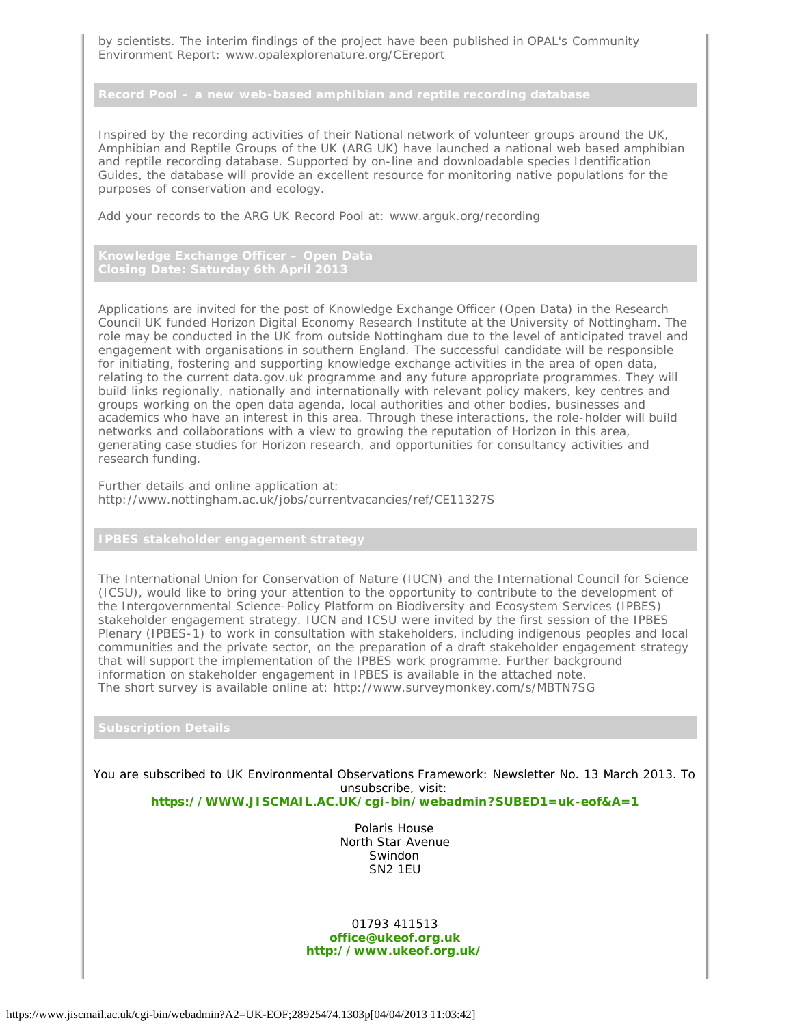by scientists. The interim findings of the project have been published in OPAL's Community Environment Report: www.opalexplorenature.org/CEreport

Inspired by the recording activities of their National network of volunteer groups around the UK, Amphibian and Reptile Groups of the UK (ARG UK) have launched a national web based amphibian and reptile recording database. Supported by on-line and downloadable species Identification Guides, the database will provide an excellent resource for monitoring native populations for the purposes of conservation and ecology.

Add your records to the ARG UK Record Pool at: www.arguk.org/recording

<span id="page-2-1"></span>

Applications are invited for the post of Knowledge Exchange Officer (Open Data) in the Research Council UK funded Horizon Digital Economy Research Institute at the University of Nottingham. The role may be conducted in the UK from outside Nottingham due to the level of anticipated travel and engagement with organisations in southern England. The successful candidate will be responsible for initiating, fostering and supporting knowledge exchange activities in the area of open data, relating to the current data.gov.uk programme and any future appropriate programmes. They will build links regionally, nationally and internationally with relevant policy makers, key centres and groups working on the open data agenda, local authorities and other bodies, businesses and academics who have an interest in this area. Through these interactions, the role-holder will build networks and collaborations with a view to growing the reputation of Horizon in this area, generating case studies for Horizon research, and opportunities for consultancy activities and research funding.

Further details and online application at: http://www.nottingham.ac.uk/jobs/currentvacancies/ref/CE11327S

<span id="page-2-0"></span>

The International Union for Conservation of Nature (IUCN) and the International Council for Science (ICSU), would like to bring your attention to the opportunity to contribute to the development of the Intergovernmental Science-Policy Platform on Biodiversity and Ecosystem Services (IPBES) stakeholder engagement strategy. IUCN and ICSU were invited by the first session of the IPBES Plenary (IPBES-1) to work in consultation with stakeholders, including indigenous peoples and local communities and the private sector, on the preparation of a draft stakeholder engagement strategy that will support the implementation of the IPBES work programme. Further background information on stakeholder engagement in IPBES is available in the attached note. The short survey is available online at: http://www.surveymonkey.com/s/MBTN7SG

<span id="page-2-2"></span>

You are subscribed to UK Environmental Observations Framework: Newsletter No. 13 March 2013. To unsubscribe, visit:

**[https://WWW.JISCMAIL.AC.UK/cgi-bin/webadmin?SUBED1=uk-eof&A=1](https://www.jiscmail.ac.uk/cgi-bin/webadmin?SUBED1=uk-eof&A=1)**

Polaris House North Star Avenue Swindon SN2 1EU

01793 411513 **[office@ukeof.org.uk](mailto:office@ukeof.org.uk) <http://www.ukeof.org.uk/>**